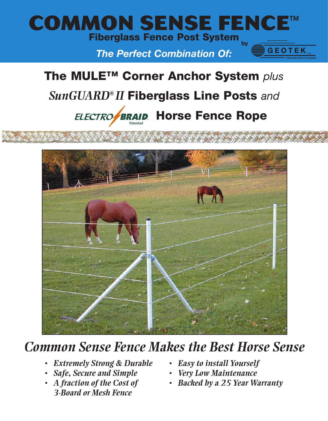

*The Perfect Combination Of:*

# **The MULE™ Corner Anchor System** *plus SunGUARD® II* **Fiberglass Line Posts** *and*

**HECTRO** BRAID Horse Fence Rope **Patented**



## *Common Sense Fence Makes the Best Horse Sense*

- *Extremely Strong & Durable*
- *Safe, Secure and Simple*
- *A fraction of the Cost of 3-Board or Mesh Fence*
- *Easy to install Yourself*
- *Very Low Maintenance*
- *Backed by a 25 Year Warranty*